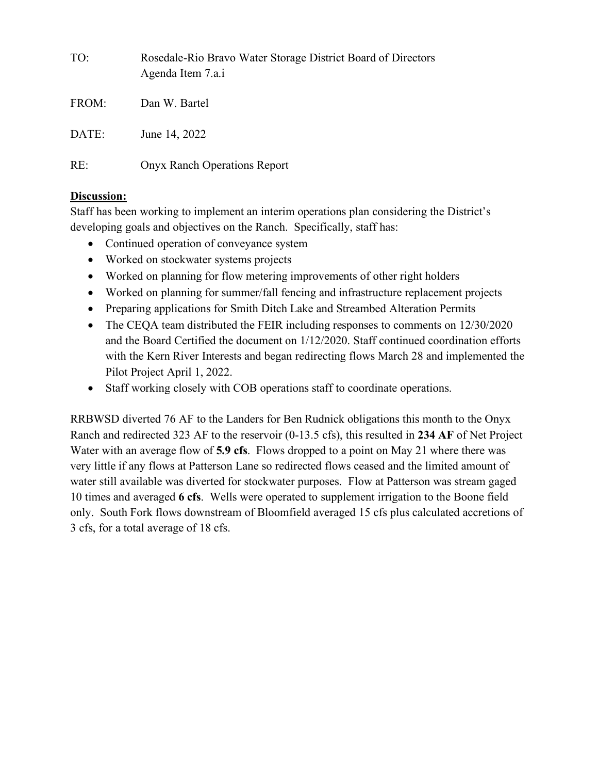| TO:   | Rosedale-Rio Bravo Water Storage District Board of Directors<br>Agenda Item 7.a.i |
|-------|-----------------------------------------------------------------------------------|
| FROM: | Dan W. Bartel                                                                     |
| DATE: | June 14, 2022                                                                     |
| RE:   | <b>Onyx Ranch Operations Report</b>                                               |

## **Discussion:**

Staff has been working to implement an interim operations plan considering the District's developing goals and objectives on the Ranch. Specifically, staff has:

- Continued operation of conveyance system
- Worked on stockwater systems projects
- Worked on planning for flow metering improvements of other right holders
- Worked on planning for summer/fall fencing and infrastructure replacement projects
- Preparing applications for Smith Ditch Lake and Streambed Alteration Permits
- The CEQA team distributed the FEIR including responses to comments on  $12/30/2020$ and the Board Certified the document on 1/12/2020. Staff continued coordination efforts with the Kern River Interests and began redirecting flows March 28 and implemented the Pilot Project April 1, 2022.
- Staff working closely with COB operations staff to coordinate operations.

RRBWSD diverted 76 AF to the Landers for Ben Rudnick obligations this month to the Onyx Ranch and redirected 323 AF to the reservoir (0-13.5 cfs), this resulted in **234 AF** of Net Project Water with an average flow of **5.9 cfs**. Flows dropped to a point on May 21 where there was very little if any flows at Patterson Lane so redirected flows ceased and the limited amount of water still available was diverted for stockwater purposes. Flow at Patterson was stream gaged 10 times and averaged **6 cfs**. Wells were operated to supplement irrigation to the Boone field only. South Fork flows downstream of Bloomfield averaged 15 cfs plus calculated accretions of 3 cfs, for a total average of 18 cfs.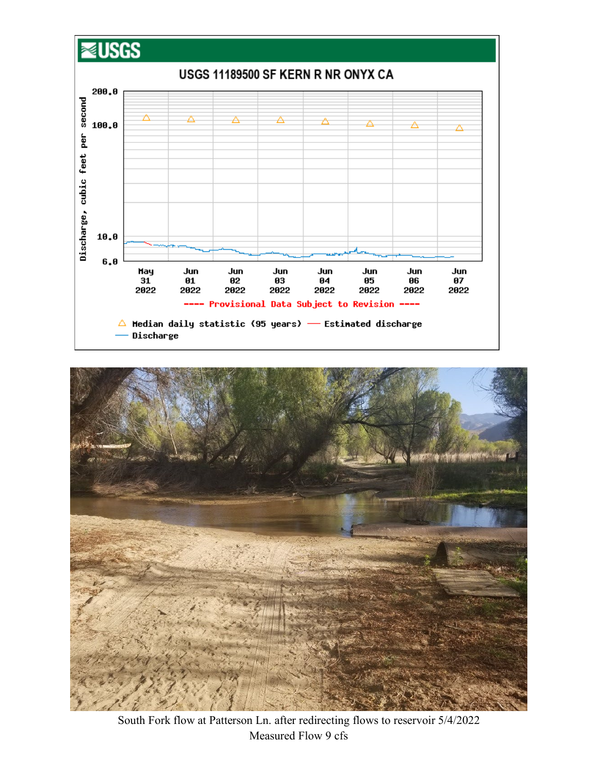



South Fork flow at Patterson Ln. after redirecting flows to reservoir 5/4/2022 Measured Flow 9 cfs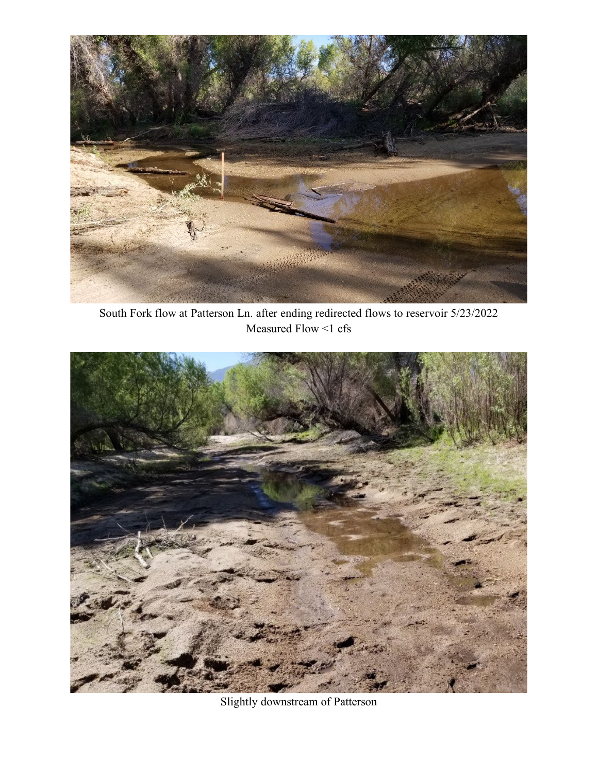

South Fork flow at Patterson Ln. after ending redirected flows to reservoir 5/23/2022 Measured Flow <1 cfs



Slightly downstream of Patterson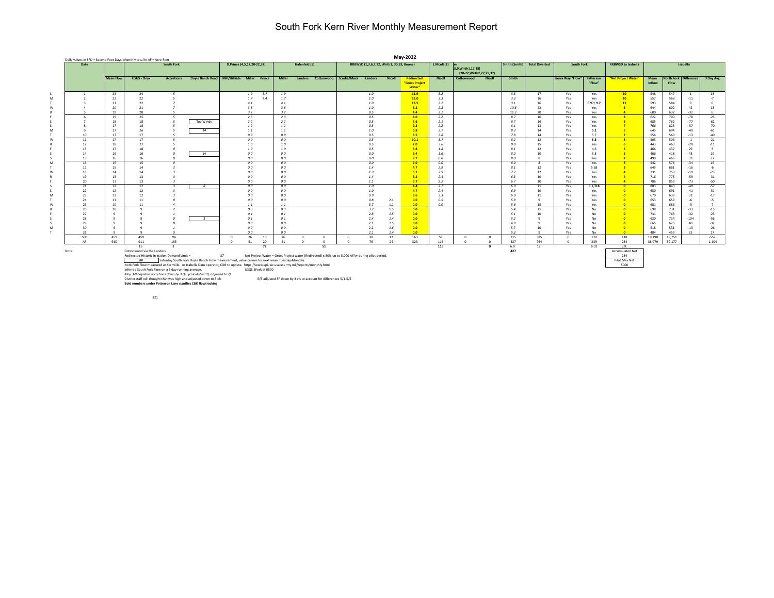## South Fork Kern River Monthly Measurement Report

| May-2022<br>Daily values in SFD = Second Foot Days, Monthly total in AF = Acre-Feet |           |                                                              |                   |                                                                                                                                                                                                    |                                                                                                                                       |                            |                |               |                                                                  |                        |                                           |            |                          |               |                                     |            |               |                       |                   |           |                           |            |                       |                |                        |
|-------------------------------------------------------------------------------------|-----------|--------------------------------------------------------------|-------------------|----------------------------------------------------------------------------------------------------------------------------------------------------------------------------------------------------|---------------------------------------------------------------------------------------------------------------------------------------|----------------------------|----------------|---------------|------------------------------------------------------------------|------------------------|-------------------------------------------|------------|--------------------------|---------------|-------------------------------------|------------|---------------|-----------------------|-------------------|-----------|---------------------------|------------|-----------------------|----------------|------------------------|
| Date                                                                                |           |                                                              | South Fork        |                                                                                                                                                                                                    |                                                                                                                                       | D.Prince (4,5,17,20-22,37) |                | Hafenfeld (5) |                                                                  |                        | RRBWSD (1,3,6,7,12, Wirth1, 30,33, Boone) |            |                          | J.Nicoll (3)  | <b>b</b> n<br>5,9, Wirth 1, 17, 18) |            | Smith (Smith) | <b>Total Diverted</b> | South Fork        |           | <b>RRBWSD to Isabella</b> |            |                       | Isabella       |                        |
|                                                                                     |           |                                                              |                   |                                                                                                                                                                                                    |                                                                                                                                       |                            |                |               |                                                                  |                        |                                           |            |                          |               | (20-22, Wirth 2, 27, 29, 37)        |            |               |                       |                   |           |                           |            |                       |                |                        |
|                                                                                     | Mean Flow | USGS - Onyx                                                  | <b>Accretions</b> | Doyle Ranch Road   Mill/Hillside  Miller  Prince                                                                                                                                                   |                                                                                                                                       |                            | Miller         | Landers       |                                                                  | Cottonwood Scodie/Mack | Landers                                   | Nicoll     | <b>Redirected</b>        | <b>Nicoll</b> | Cottonwood                          | Nicoll     | Smith         |                       | Sierra Way "Flow" | Patterson | "Net Project Water"       | Mean       | North Fork Difference |                | 3 Day Avg              |
|                                                                                     |           |                                                              |                   |                                                                                                                                                                                                    |                                                                                                                                       |                            |                |               |                                                                  |                        |                                           |            | "Gross Project<br>Water" |               |                                     |            |               |                       |                   | "Flow"    |                           | Inflow     | Flow                  |                |                        |
| -1                                                                                  | 23        | 24                                                           | 5 <sup>5</sup>    |                                                                                                                                                                                                    |                                                                                                                                       | 1.9<br>5.7                 | 1.9            |               |                                                                  |                        | 1.0                                       |            | 11.9                     | 3.2           |                                     |            | 3.3           | 17                    | Yes               | Yes       | 10                        | 548        | 547                   | $\overline{1}$ | 13                     |
|                                                                                     | 22        | 22                                                           |                   |                                                                                                                                                                                                    |                                                                                                                                       | 1.7<br>4.4                 | 1.7            |               |                                                                  |                        | 1.0                                       |            | 12.0                     | 3.3           |                                     |            | 3.3           | 16                    | Yes               | Yes       | 10                        | 557        | 568                   | $-11$          | $-7$                   |
|                                                                                     | 21        | 22                                                           |                   |                                                                                                                                                                                                    |                                                                                                                                       | 4.1                        | 4.1            |               |                                                                  |                        | 1.0                                       |            | 13.5                     | 3.2           |                                     |            | 3.1           | 16                    | Yes               | 8.97/9.7  | 11                        | 593        | 584                   |                | n                      |
|                                                                                     | 20        | 21                                                           |                   |                                                                                                                                                                                                    |                                                                                                                                       | 3.8                        | 3.8            |               |                                                                  |                        | 1.0                                       |            | 6.2                      | 2.8           |                                     |            | 10.6          | 22                    | Yes               | Yes       | -5                        | 644        | 602                   | 42             | 13                     |
|                                                                                     | 19        | 20                                                           |                   |                                                                                                                                                                                                    |                                                                                                                                       | 3.2                        | 3.2            |               |                                                                  |                        | 0.5                                       |            | 4.4                      | 2.2           |                                     |            | 11.3          | 20                    | Yes               | Yes       | $\overline{a}$            | 600        | 632                   | $-32$          |                        |
|                                                                                     | 19        | 15                                                           | 5                 |                                                                                                                                                                                                    |                                                                                                                                       | 2.3                        | 2.3            |               |                                                                  |                        | 0.5                                       |            | 4.0                      | 2.2           |                                     |            | 8.7           | 16                    | Yes               | Yes       | $\overline{\mathbf{3}}$   | 622        | 700                   | $-78$          | $-23$                  |
|                                                                                     | 18        | 18                                                           |                   | Too Windy                                                                                                                                                                                          |                                                                                                                                       | 2.2                        | 2.2            |               |                                                                  |                        | 0.5                                       |            | 7.6                      | 2.1           |                                     |            | 8.7           | 16                    | Yes               | Yes       |                           | 685        | 762                   | $-77$          | $-62$                  |
|                                                                                     | 17        | 18                                                           |                   |                                                                                                                                                                                                    |                                                                                                                                       | 1.2                        | 1.2            |               |                                                                  |                        | 0.5                                       |            | 9.3                      | 2.2           |                                     |            | 8.1           | 13                    | Yes               | Yes       |                           | 766        | 823                   | $-57$          | $-70$                  |
|                                                                                     | 17        | 16                                                           |                   | 14                                                                                                                                                                                                 |                                                                                                                                       | 1.1                        | 1.1            |               |                                                                  |                        | 1.0                                       |            | 6.8                      | 2.7           |                                     |            | 8.3           | 14                    | Yes               | 5.1       |                           | 645        | 694                   | $-49$          | $-61$                  |
| 10                                                                                  | 17        | 17                                                           |                   |                                                                                                                                                                                                    |                                                                                                                                       | 0.9                        | 0.9            |               |                                                                  |                        | 0.5                                       |            | 8.5                      | $3.8^{\circ}$ |                                     |            | 7.8           | 14                    | Yes               | 5.7       | $\overline{7}$            | 556        | 569                   | $-13$          | $-40$                  |
| 11                                                                                  | 17        | 17                                                           |                   |                                                                                                                                                                                                    |                                                                                                                                       | 0.0                        | 0.0            |               |                                                                  |                        | 0.5                                       |            | 10.1                     | 3.7           |                                     |            | 8.2           | 12                    | Yes               | 5.5       | $\mathbf{R}$              | 505        | 506                   | $-1$           | $-21$                  |
| 12                                                                                  | 18        | 17                                                           |                   |                                                                                                                                                                                                    |                                                                                                                                       | 1.0                        | $1.0\,$        |               |                                                                  |                        | 0.5                                       |            | 7.0                      | 3.6           |                                     |            | 9.0           | 15                    | Yes               | Yes       |                           | 443        | 463                   | $-20$          | $-11$                  |
| 13                                                                                  | 17        | 18                                                           |                   |                                                                                                                                                                                                    |                                                                                                                                       | 1.0                        | 1.0            |               |                                                                  |                        | 0.5                                       |            | 5.8                      | 1.8           |                                     |            | 8.1           | 12                    | Yes               | 4.6       |                           | 466        | 437                   | 29             |                        |
| 14                                                                                  | 16        | 16                                                           |                   | 14                                                                                                                                                                                                 |                                                                                                                                       | 0.0                        | 0.0            |               |                                                                  |                        | 0.0                                       |            | 6.4                      | $1.6^{\circ}$ |                                     |            | 8.0           | 10                    | Yes               | 5.8       |                           | 466        | 418                   | 48             | 19                     |
| 15                                                                                  | 16        | 16                                                           |                   |                                                                                                                                                                                                    |                                                                                                                                       | 0.0                        | 0.0            |               |                                                                  |                        | 0.0                                       |            | 8.2                      | 0.0           |                                     |            | 8.0           | $\mathbf{R}$          | Yes               | Yes       | $\overline{7}$            | 499        | 466                   | 33             | 37                     |
| 16                                                                                  | 15        | 15                                                           |                   |                                                                                                                                                                                                    |                                                                                                                                       | 0.0                        | 0.0            |               |                                                                  |                        | $0.0$                                     |            | 7.0                      | 0.0           |                                     |            | 8.0           | 8                     | Yes               | Yes       | $-6$                      | 542        | 576                   | $-34$          | 16                     |
| 17                                                                                  | 15        | 14                                                           |                   |                                                                                                                                                                                                    |                                                                                                                                       | 0.0                        | 0.0            |               |                                                                  |                        | 1.4                                       |            | 4.7                      | 2.9           |                                     |            | 8.1           | 12                    | Yes               | 5.68      |                           | 645        | 661                   | $-16$          |                        |
| 18                                                                                  | 14        | 14                                                           |                   |                                                                                                                                                                                                    |                                                                                                                                       | 0.0                        | 0.0            |               |                                                                  |                        | 1.3                                       |            | 5.1                      | 2.9           |                                     |            | 7.7           | 12                    | Yes               | Yes       |                           | 731        | 750                   | $-19$          | $-23$                  |
| 19                                                                                  | 13        | 13                                                           |                   |                                                                                                                                                                                                    |                                                                                                                                       | $0.0\,$                    | 0.0            |               |                                                                  |                        | 1.4                                       |            | 6.2                      | 2.4           |                                     |            | 6.3           | 10                    | Yes               | Yes       | $\overline{a}$            | 716        | 775                   | $-59$          | $-31$                  |
| 20                                                                                  | 13        | 13                                                           |                   |                                                                                                                                                                                                    |                                                                                                                                       | 0.0                        | 0.0            |               |                                                                  |                        | 1.1                                       |            | 5.7                      | 2.2           |                                     |            | 6.7           | 10                    | Yes               | Yes       | $\mathbf{A}$              | 786        | 859                   | $-73$          | $-50$                  |
| 21                                                                                  | 12        | 12                                                           |                   | 8                                                                                                                                                                                                  |                                                                                                                                       | 0.0                        | 0.0            |               |                                                                  |                        | 1.0                                       |            | 4.4                      | 2.7           |                                     |            | 6.9           | 11                    | Yes               | 1.1/0.8   | $\overline{\mathbf{0}}$   | 803        | 843                   | $-40$          | $-57$                  |
| 22                                                                                  | 12        | 12                                                           |                   |                                                                                                                                                                                                    |                                                                                                                                       | 0.0                        | 0.0            |               |                                                                  |                        | 1.0                                       |            | 4.7                      | 2.4           |                                     |            | 6.9           | 10                    | Yes               | Yes       |                           | 650        | 691                   | $-41$          | $-51$                  |
| 23                                                                                  | 12        | 12                                                           |                   |                                                                                                                                                                                                    |                                                                                                                                       | $0.0\,$                    | 0.0            |               |                                                                  |                        | 0.9                                       |            | 3.6                      | 3.3           |                                     |            | 6.9           | 11                    | Yes               | Yes       |                           | 670        | 639                   | 31             | $-17$                  |
| 24                                                                                  | 11        | 11                                                           |                   |                                                                                                                                                                                                    |                                                                                                                                       | $0.0\,$                    | 0.0            |               |                                                                  |                        | 0.8<br>5.7                                | 2.1        | 0.0                      | 0.5<br>0.0    |                                     |            | 5.9<br>5.6    | $\mathbf{Q}$          | Yes               | Yes       | $\sqrt{2}$                | 653        | 659<br>686            |                | $-5$<br>$\overline{z}$ |
| 25<br>26                                                                            | 10<br>10  | 11                                                           |                   |                                                                                                                                                                                                    |                                                                                                                                       | 1.1<br>0.3                 | $1.1\,$<br>0.3 |               |                                                                  |                        | 3.2                                       | 1.1<br>1.5 | 0.0<br>0.0               |               |                                     |            | 5.4           | 15<br>11              | Yes<br>Yes        | Yes<br>No | $\overline{0}$            | 681<br>698 | 731                   | $-33$          | $-15$                  |
| 27                                                                                  |           |                                                              |                   |                                                                                                                                                                                                    |                                                                                                                                       | 0.1                        | 0.1            |               |                                                                  |                        | 2.8                                       | 1.5        |                          |               |                                     |            | 5.1           | 10                    |                   | No        |                           |            |                       |                |                        |
| 28                                                                                  |           |                                                              |                   | $\mathbf{R}$                                                                                                                                                                                       |                                                                                                                                       |                            |                |               |                                                                  |                        |                                           |            | 0.0                      |               |                                     |            |               |                       | Yes               |           |                           | 731        | 763                   | $-32$          | $-23$                  |
| 29                                                                                  |           |                                                              |                   |                                                                                                                                                                                                    |                                                                                                                                       | 0.1<br>$0.0\,$             | 0.1<br>0.0     |               |                                                                  |                        | 2.4<br>2.1                                | 1.4<br>1.5 | 0.0<br>0.0               |               |                                     |            | 5.2<br>4.9    | $\alpha$              | Yes<br>Yes        | No<br>No  |                           | 630<br>665 | 734<br>625            | $-104$<br>40   | $-56$<br>$-32$         |
| 30                                                                                  |           |                                                              |                   |                                                                                                                                                                                                    |                                                                                                                                       | 0.0                        | 0.0            |               |                                                                  |                        | 2.2                                       | 1.6        | 0.0                      |               |                                     |            | 5.7           | 10                    | Yes               | No        |                           | 518        | 531                   | $-13$          | $-26$                  |
| 31                                                                                  | $\circ$   |                                                              |                   |                                                                                                                                                                                                    |                                                                                                                                       | 0 <sub>0</sub>             | 0.0            |               |                                                                  |                        | 2.1                                       | 1.4        | 0.0                      |               |                                     |            | 5.3           | $\circ$               | Yes               | No        | $\sqrt{2}$                | 484        | 459                   | 25             | 17                     |
| SFD                                                                                 | 459       | 459                                                          | 94                |                                                                                                                                                                                                    | $^{\circ}$                                                                                                                            | 26<br>10                   | 26             | $\Omega$      | $\circ$                                                          | $^{\circ}$             | 38                                        | 12         | 163                      | 58            | $\Omega$                            | $\Omega$   | 215           | 385                   | $^{\circ}$        | 120       | 118                       | 19,198     | 19,751                |                | $-557$                 |
| AF.                                                                                 | 910       | 911                                                          | 185               |                                                                                                                                                                                                    |                                                                                                                                       | 51<br>20                   | 51             |               | $\Omega$                                                         |                        | 76                                        | 24         | 323                      | 115           |                                     | $\sqrt{2}$ | 427           | 764                   |                   | 239       | 234                       | 38,079     | 39,177                |                | $-1,104$               |
|                                                                                     |           | 15                                                           | $\mathbf{a}$      |                                                                                                                                                                                                    |                                                                                                                                       | 72                         |                |               | 51                                                               |                        |                                           |            |                          | 115           |                                     | $\Omega$   | 6.9           | 12                    |                   | 6.02      | 5.9                       |            |                       |                |                        |
| Note:                                                                               |           | Cottonwood via the Landers                                   |                   |                                                                                                                                                                                                    |                                                                                                                                       |                            |                |               |                                                                  |                        |                                           |            |                          |               |                                     |            | 427           |                       |                   |           | <b>Accumulated Net</b>    |            |                       |                |                        |
|                                                                                     |           |                                                              |                   |                                                                                                                                                                                                    | 37                                                                                                                                    |                            |                |               |                                                                  |                        |                                           |            |                          |               |                                     |            |               |                       |                   |           | 234                       |            |                       |                |                        |
| Redirected Historic Irrigation Demand Limit =<br>$\##$                              |           |                                                              |                   | Net Project Water = Gross Project water (Redirected) x 80% up to 5,000 AF/yr during pilot period.<br>Saturday South Fork Doyle Ranch Flow measurement, value carries for next week Tuesday-Monday. |                                                                                                                                       |                            |                |               |                                                                  |                        |                                           |            |                          | Pilot Max Net |                                     |            |               |                       |                   |           |                           |            |                       |                |                        |
|                                                                                     |           |                                                              |                   |                                                                                                                                                                                                    | Nork Fork Flow measured at Kernville. As Isabella Dam operator, COB to update. https://www.spk-wc.usace.army.mil/reports/monthly.html |                            |                |               |                                                                  |                        |                                           |            |                          | 5000          |                                     |            |               |                       |                   |           |                           |            |                       |                |                        |
|                                                                                     |           | Inferred South Fork Flow on a 3 day running average          |                   |                                                                                                                                                                                                    |                                                                                                                                       | USGS SFork at 0500         |                |               |                                                                  |                        |                                           |            |                          |               |                                     |            |               |                       |                   |           |                           |            |                       |                |                        |
|                                                                                     |           |                                                              |                   | May 3-9 adjusted accretions down by 3 cfs. (calculated 10, adjusted to 7)                                                                                                                          |                                                                                                                                       |                            |                |               |                                                                  |                        |                                           |            |                          |               |                                     |            |               |                       |                   |           |                           |            |                       |                |                        |
|                                                                                     |           |                                                              |                   | District staff still thought that was high and adjusted down to 5 cfs                                                                                                                              |                                                                                                                                       |                            |                |               | 5/6 adjusted SF down by 3 cfs to account for differences 5/1-5/5 |                        |                                           |            |                          |               |                                     |            |               |                       |                   |           |                           |            |                       |                |                        |
|                                                                                     |           | Bold numbers under Patterson Lane signifies CBK flowtracking |                   |                                                                                                                                                                                                    |                                                                                                                                       |                            |                |               |                                                                  |                        |                                           |            |                          |               |                                     |            |               |                       |                   |           |                           |            |                       |                |                        |

321